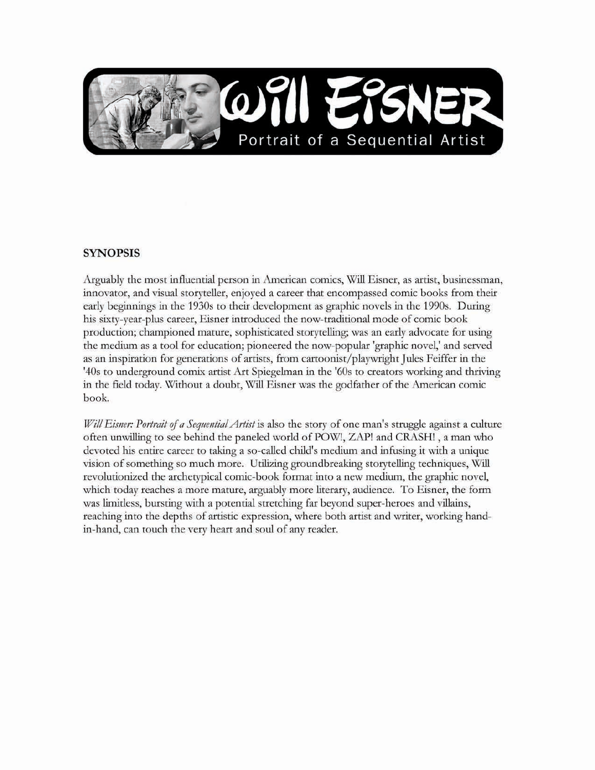

### **SYNOPSIS**

Arguably the most influential person in American comics, Will Eisner, as artist, businessman, innovator, and visual storyteller, enjoyed a career that encompassed comic books from their early beginnings in the 1930s to their development as graphic novels in the 1990s. During his sixty-year-plus career, Eisner introduced the now-traditional mode of comic book production; championed mature, sophisticated storytelling; was an early advocate for using the medium as a tool for education; pioneered the now-popular 'graphic novel,' and served as an inspiration for generations of artists, from cartoonist/playwright Jules Feiffer in the 40s to underground comix artist Art Spiegelman in the '60s to creators working and thriving in the field today. Without a doubt, Will Eisner was the godfather of the American comic book.

Will Eisner: Portrait of a Sequential Artist is also the story of one man's struggle against a culture often unwilling to see behind the paneled world of POW!, ZAP! and CRASH!, a man who devoted his entire career to taking a so-called child's medium and infusing it with a unique vision of something so much more. Utilizing groundbreaking storytelling techniques, Will revolutionized the archetypical comic-book format into a new medium, the graphic novel, which today reaches a more mature, arguably more literary, audience. To Eisner, the form was limitless, bursting with a potential stretching far beyond super-heroes and villains, reaching into the depths of artistic expression, where both artist and writer, working handin-hand, can touch the very heart and soul of any reader.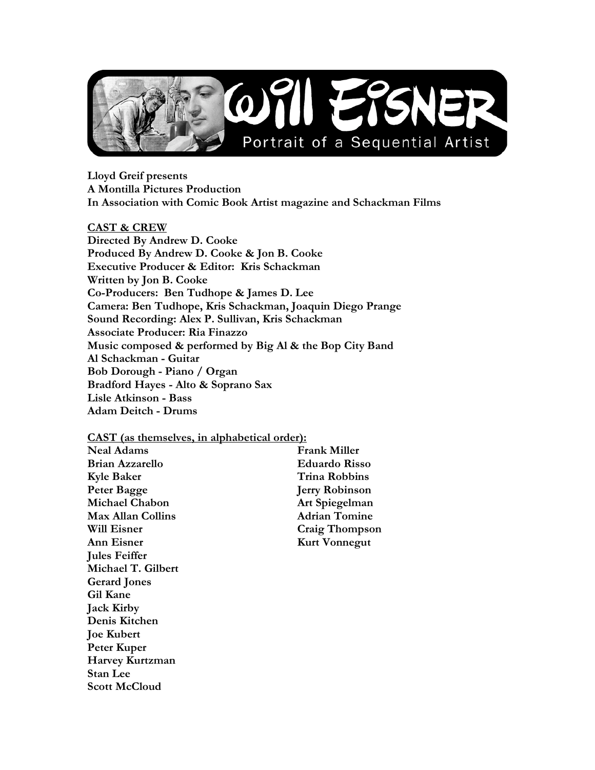

**Lloyd Greif presents A Montilla Pictures Production In Association with Comic Book Artist magazine and Schackman Films**

#### **CAST & CREW**

**Directed By Andrew D. Cooke Produced By Andrew D. Cooke & Jon B. Cooke Executive Producer & Editor: Kris Schackman Written by Jon B. Cooke Co-Producers: Ben Tudhope & James D. Lee Camera: Ben Tudhope, Kris Schackman, Joaquin Diego Prange Sound Recording: Alex P. Sullivan, Kris Schackman Associate Producer: Ria Finazzo Music composed & performed by Big Al & the Bop City Band Al Schackman - Guitar Bob Dorough - Piano / Organ Bradford Hayes - Alto & Soprano Sax Lisle Atkinson - Bass Adam Deitch - Drums**

#### **CAST (as themselves, in alphabetical order):**

**Neal Adams Frank Miller Brian Azzarello Eduardo Risso Kyle Baker** Trina Robbins Peter Bagge Jerry Robinson **Michael Chabon Art Spiegelman Max Allan Collins Adrian Tomine Will Eisner Craig Thompson Ann Eisner Kurt Vonnegut Jules Feiffer Michael T. Gilbert Gerard Jones Gil Kane Jack Kirby Denis Kitchen Joe Kubert Peter Kuper Harvey Kurtzman Stan Lee Scott McCloud**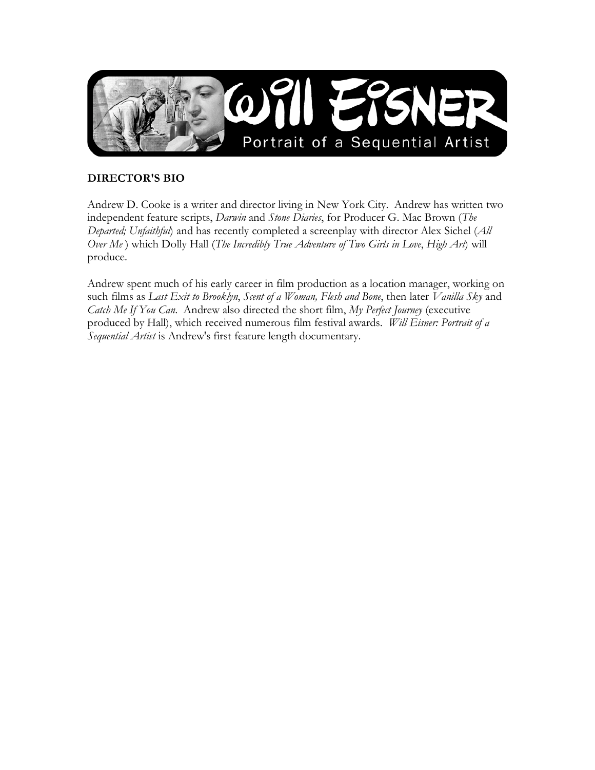

# **DIRECTOR'S BIO**

Andrew D. Cooke is a writer and director living in New York City. Andrew has written two independent feature scripts, *Darwin* and *Stone Diaries*, for Producer G. Mac Brown (*The Departed; Unfaithful*) and has recently completed a screenplay with director Alex Sichel (*All Over Me* ) which Dolly Hall (*The Incredibly True Adventure of Two Girls in Love*, *High Art*) will produce.

Andrew spent much of his early career in film production as a location manager, working on such films as *Last Exit to Brooklyn*, *Scent of a Woman, Flesh and Bone*, then later *Vanilla Sky* and *Catch Me If You Can*. Andrew also directed the short film, *My Perfect Journey* (executive produced by Hall), which received numerous film festival awards. *Will Eisner: Portrait of a Sequential Artist* is Andrew's first feature length documentary.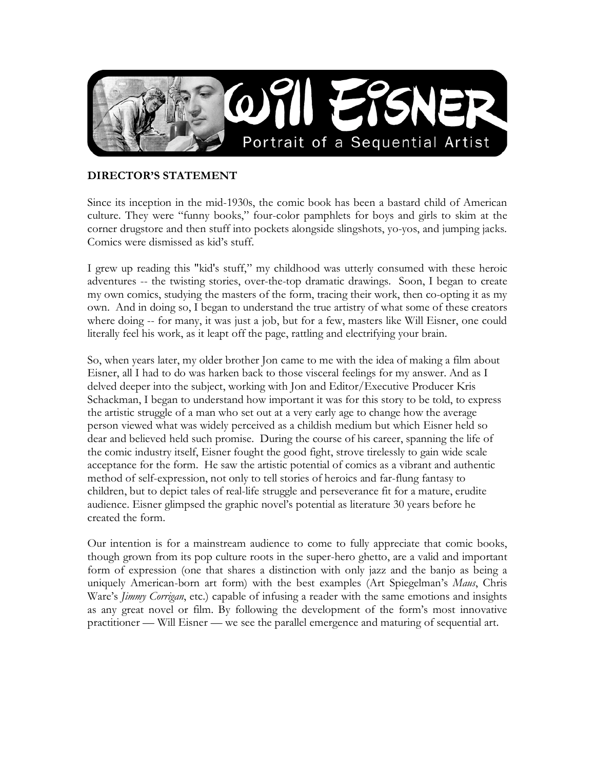

## **DIRECTOR'S STATEMENT**

Since its inception in the mid-1930s, the comic book has been a bastard child of American culture. They were "funny books," four-color pamphlets for boys and girls to skim at the corner drugstore and then stuff into pockets alongside slingshots, yo-yos, and jumping jacks. Comics were dismissed as kid's stuff.

I grew up reading this "kid's stuff," my childhood was utterly consumed with these heroic adventures -- the twisting stories, over-the-top dramatic drawings. Soon, I began to create my own comics, studying the masters of the form, tracing their work, then co-opting it as my own. And in doing so, I began to understand the true artistry of what some of these creators where doing -- for many, it was just a job, but for a few, masters like Will Eisner, one could literally feel his work, as it leapt off the page, rattling and electrifying your brain.

So, when years later, my older brother Jon came to me with the idea of making a film about Eisner, all I had to do was harken back to those visceral feelings for my answer. And as I delved deeper into the subject, working with Jon and Editor/Executive Producer Kris Schackman, I began to understand how important it was for this story to be told, to express the artistic struggle of a man who set out at a very early age to change how the average person viewed what was widely perceived as a childish medium but which Eisner held so dear and believed held such promise. During the course of his career, spanning the life of the comic industry itself, Eisner fought the good fight, strove tirelessly to gain wide scale acceptance for the form. He saw the artistic potential of comics as a vibrant and authentic method of self-expression, not only to tell stories of heroics and far-flung fantasy to children, but to depict tales of real-life struggle and perseverance fit for a mature, erudite audience. Eisner glimpsed the graphic novel's potential as literature 30 years before he created the form.

Our intention is for a mainstream audience to come to fully appreciate that comic books, though grown from its pop culture roots in the super-hero ghetto, are a valid and important form of expression (one that shares a distinction with only jazz and the banjo as being a uniquely American-born art form) with the best examples (Art Spiegelman's *Maus*, Chris Ware's *Jimmy Corrigan*, etc.) capable of infusing a reader with the same emotions and insights as any great novel or film. By following the development of the form's most innovative practitioner — Will Eisner — we see the parallel emergence and maturing of sequential art.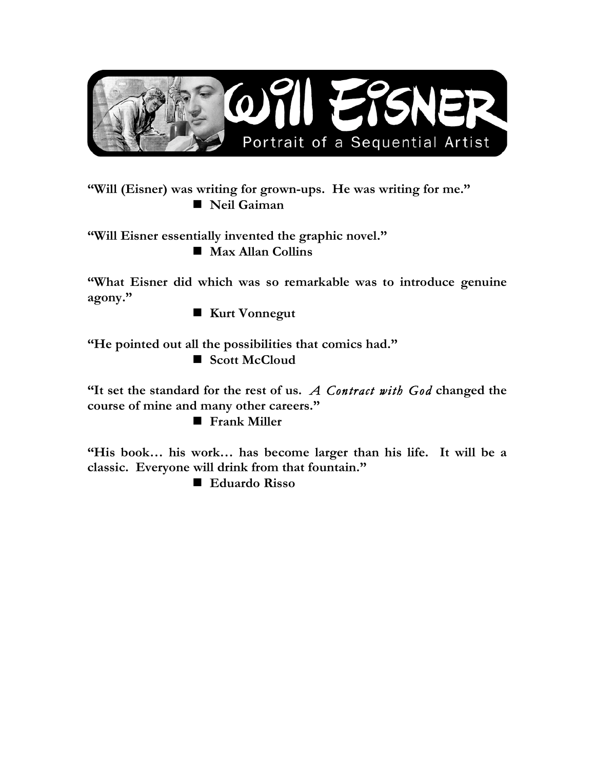

**"Will (Eisner) was writing for grown-ups. He was writing for me." Neil Gaiman**

**"Will Eisner essentially invented the graphic novel."**

**Max Allan Collins**

**"What Eisner did which was so remarkable was to introduce genuine agony."**

■ Kurt Vonnegut

**"He pointed out all the possibilities that comics had."**

**Scott McCloud**

**"It set the standard for the rest of us.** *A Contract with God* **changed the course of mine and many other careers."**

**Frank Miller**

**"His book… his work… has become larger than his life. It will be a classic. Everyone will drink from that fountain."**

**Eduardo Risso**